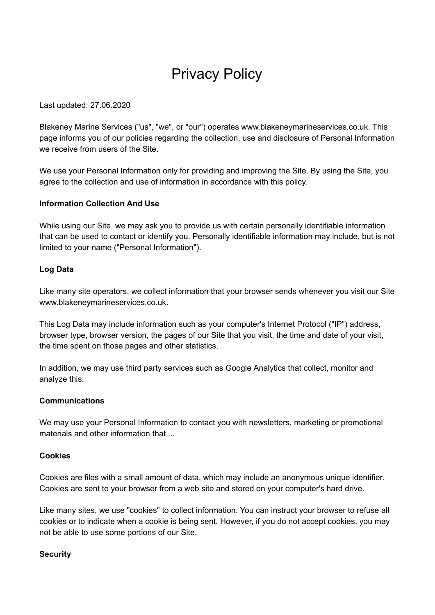# Privacy Policy

Last updated: 27.06.2020

Blakeney Marine Services ("us", "we", or "our") operates www.blakeneymarineservices.co.uk. This page informs you of our policies regarding the collection, use and disclosure of Personal Information we receive from users of the Site.

We use your Personal Information only for providing and improving the Site. By using the Site, you agree to the collection and use of information in accordance with this policy.

## **Information Collection And Use**

While using our Site, we may ask you to provide us with certain personally identifiable information that can be used to contact or identify you. Personally identifiable information may include, but is not limited to your name ("Personal Information").

## **Log Data**

Like many site operators, we collect information that your browser sends whenever you visit our Site www.blakeneymarineservices.co.uk.

This Log Data may include information such as your computer's Internet Protocol ("IP") address, browser type, browser version, the pages of our Site that you visit, the time and date of your visit, the time spent on those pages and other statistics.

In addition, we may use third party services such as Google Analytics that collect, monitor and analyze this.

#### **Communications**

We may use your Personal Information to contact you with newsletters, marketing or promotional materials and other information that ...

#### **Cookies**

Cookies are files with a small amount of data, which may include an anonymous unique identifier. Cookies are sent to your browser from a web site and stored on your computer's hard drive.

Like many sites, we use "cookies" to collect information. You can instruct your browser to refuse all cookies or to indicate when a cookie is being sent. However, if you do not accept cookies, you may not be able to use some portions of our Site.

#### **Security**